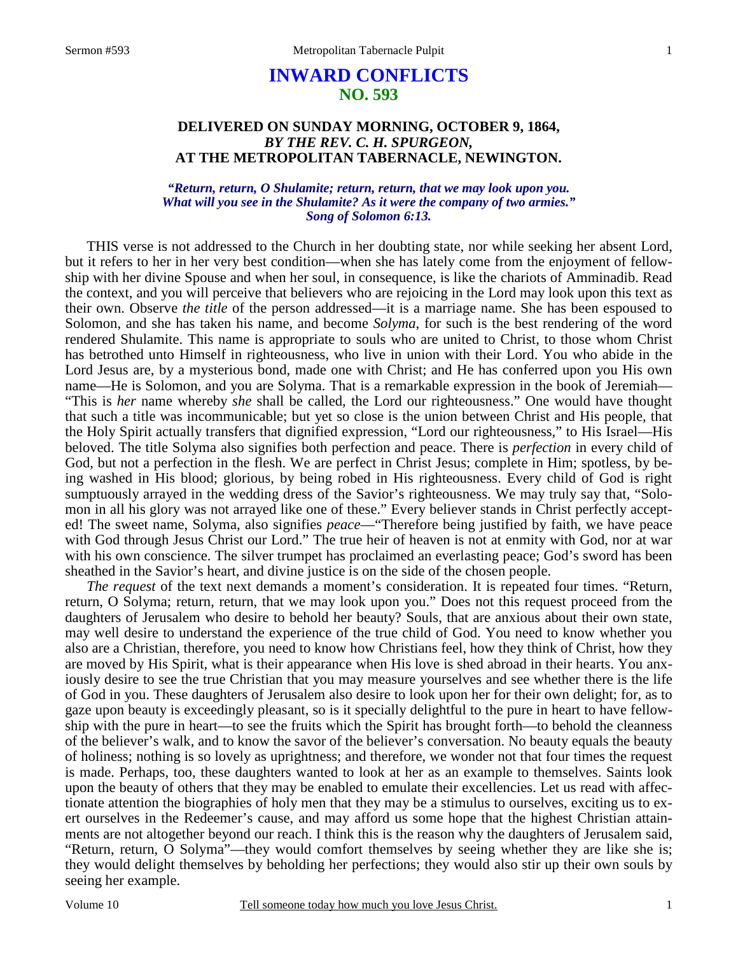# **INWARD CONFLICTS NO. 593**

## **DELIVERED ON SUNDAY MORNING, OCTOBER 9, 1864,**  *BY THE REV. C. H. SPURGEON,*  **AT THE METROPOLITAN TABERNACLE, NEWINGTON.**

### *"Return, return, O Shulamite; return, return, that we may look upon you. What will you see in the Shulamite? As it were the company of two armies." Song of Solomon 6:13.*

THIS verse is not addressed to the Church in her doubting state, nor while seeking her absent Lord, but it refers to her in her very best condition—when she has lately come from the enjoyment of fellowship with her divine Spouse and when her soul, in consequence, is like the chariots of Amminadib. Read the context, and you will perceive that believers who are rejoicing in the Lord may look upon this text as their own. Observe *the title* of the person addressed—it is a marriage name. She has been espoused to Solomon, and she has taken his name, and become *Solyma*, for such is the best rendering of the word rendered Shulamite. This name is appropriate to souls who are united to Christ, to those whom Christ has betrothed unto Himself in righteousness, who live in union with their Lord. You who abide in the Lord Jesus are, by a mysterious bond, made one with Christ; and He has conferred upon you His own name—He is Solomon, and you are Solyma. That is a remarkable expression in the book of Jeremiah— "This is *her* name whereby *she* shall be called, the Lord our righteousness." One would have thought that such a title was incommunicable; but yet so close is the union between Christ and His people, that the Holy Spirit actually transfers that dignified expression, "Lord our righteousness," to His Israel—His beloved. The title Solyma also signifies both perfection and peace. There is *perfection* in every child of God, but not a perfection in the flesh. We are perfect in Christ Jesus; complete in Him; spotless, by being washed in His blood; glorious, by being robed in His righteousness. Every child of God is right sumptuously arrayed in the wedding dress of the Savior's righteousness. We may truly say that, "Solomon in all his glory was not arrayed like one of these." Every believer stands in Christ perfectly accepted! The sweet name, Solyma, also signifies *peace*—"Therefore being justified by faith, we have peace with God through Jesus Christ our Lord." The true heir of heaven is not at enmity with God, nor at war with his own conscience. The silver trumpet has proclaimed an everlasting peace; God's sword has been sheathed in the Savior's heart, and divine justice is on the side of the chosen people.

*The request* of the text next demands a moment's consideration. It is repeated four times. "Return, return, O Solyma; return, return, that we may look upon you." Does not this request proceed from the daughters of Jerusalem who desire to behold her beauty? Souls, that are anxious about their own state, may well desire to understand the experience of the true child of God. You need to know whether you also are a Christian, therefore, you need to know how Christians feel, how they think of Christ, how they are moved by His Spirit, what is their appearance when His love is shed abroad in their hearts. You anxiously desire to see the true Christian that you may measure yourselves and see whether there is the life of God in you. These daughters of Jerusalem also desire to look upon her for their own delight; for, as to gaze upon beauty is exceedingly pleasant, so is it specially delightful to the pure in heart to have fellowship with the pure in heart—to see the fruits which the Spirit has brought forth—to behold the cleanness of the believer's walk, and to know the savor of the believer's conversation. No beauty equals the beauty of holiness; nothing is so lovely as uprightness; and therefore, we wonder not that four times the request is made. Perhaps, too, these daughters wanted to look at her as an example to themselves. Saints look upon the beauty of others that they may be enabled to emulate their excellencies. Let us read with affectionate attention the biographies of holy men that they may be a stimulus to ourselves, exciting us to exert ourselves in the Redeemer's cause, and may afford us some hope that the highest Christian attainments are not altogether beyond our reach. I think this is the reason why the daughters of Jerusalem said, "Return, return, O Solyma"—they would comfort themselves by seeing whether they are like she is; they would delight themselves by beholding her perfections; they would also stir up their own souls by seeing her example.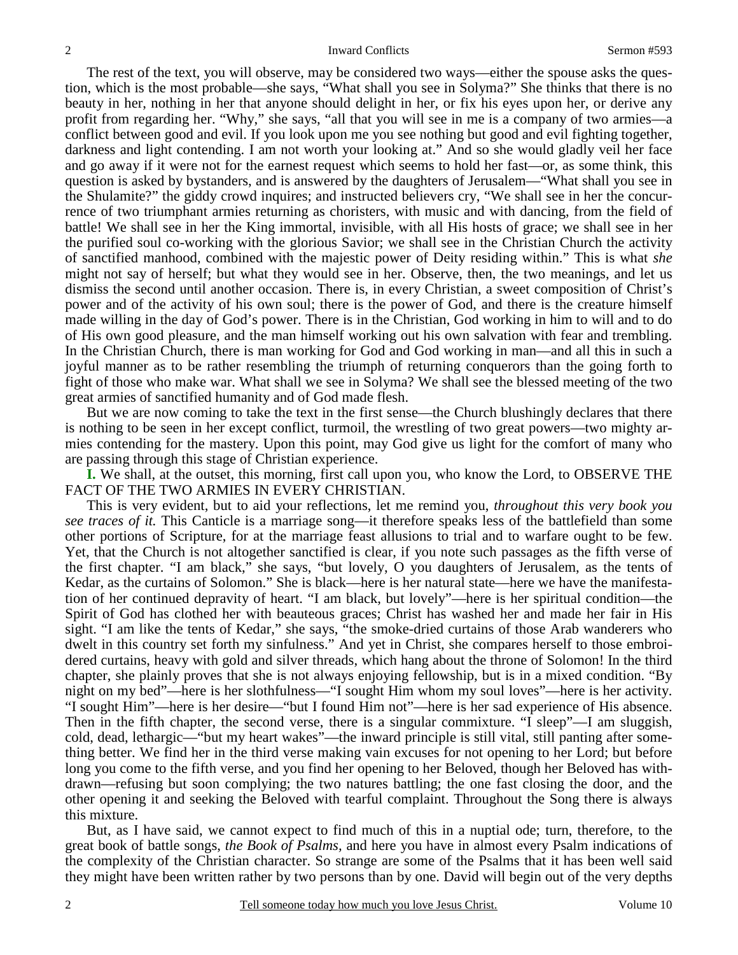The rest of the text, you will observe, may be considered two ways—either the spouse asks the question, which is the most probable—she says, "What shall you see in Solyma?" She thinks that there is no beauty in her, nothing in her that anyone should delight in her, or fix his eyes upon her, or derive any profit from regarding her. "Why," she says, "all that you will see in me is a company of two armies—a conflict between good and evil. If you look upon me you see nothing but good and evil fighting together, darkness and light contending. I am not worth your looking at." And so she would gladly veil her face and go away if it were not for the earnest request which seems to hold her fast—or, as some think, this question is asked by bystanders, and is answered by the daughters of Jerusalem—"What shall you see in the Shulamite?" the giddy crowd inquires; and instructed believers cry, "We shall see in her the concurrence of two triumphant armies returning as choristers, with music and with dancing, from the field of battle! We shall see in her the King immortal, invisible, with all His hosts of grace; we shall see in her the purified soul co-working with the glorious Savior; we shall see in the Christian Church the activity of sanctified manhood, combined with the majestic power of Deity residing within." This is what *she* might not say of herself; but what they would see in her. Observe, then, the two meanings, and let us dismiss the second until another occasion. There is, in every Christian, a sweet composition of Christ's power and of the activity of his own soul; there is the power of God, and there is the creature himself made willing in the day of God's power. There is in the Christian, God working in him to will and to do of His own good pleasure, and the man himself working out his own salvation with fear and trembling. In the Christian Church, there is man working for God and God working in man—and all this in such a joyful manner as to be rather resembling the triumph of returning conquerors than the going forth to fight of those who make war. What shall we see in Solyma? We shall see the blessed meeting of the two great armies of sanctified humanity and of God made flesh.

But we are now coming to take the text in the first sense—the Church blushingly declares that there is nothing to be seen in her except conflict, turmoil, the wrestling of two great powers—two mighty armies contending for the mastery. Upon this point, may God give us light for the comfort of many who are passing through this stage of Christian experience.

**I.** We shall, at the outset, this morning, first call upon you, who know the Lord, to OBSERVE THE FACT OF THE TWO ARMIES IN EVERY CHRISTIAN.

This is very evident, but to aid your reflections, let me remind you, *throughout this very book you see traces of it.* This Canticle is a marriage song—it therefore speaks less of the battlefield than some other portions of Scripture, for at the marriage feast allusions to trial and to warfare ought to be few. Yet, that the Church is not altogether sanctified is clear, if you note such passages as the fifth verse of the first chapter. "I am black," she says, "but lovely, O you daughters of Jerusalem, as the tents of Kedar, as the curtains of Solomon." She is black—here is her natural state—here we have the manifestation of her continued depravity of heart. "I am black, but lovely"—here is her spiritual condition—the Spirit of God has clothed her with beauteous graces; Christ has washed her and made her fair in His sight. "I am like the tents of Kedar," she says, "the smoke-dried curtains of those Arab wanderers who dwelt in this country set forth my sinfulness." And yet in Christ, she compares herself to those embroidered curtains, heavy with gold and silver threads, which hang about the throne of Solomon! In the third chapter, she plainly proves that she is not always enjoying fellowship, but is in a mixed condition. "By night on my bed"—here is her slothfulness—"I sought Him whom my soul loves"—here is her activity. "I sought Him"—here is her desire—"but I found Him not"—here is her sad experience of His absence. Then in the fifth chapter, the second verse, there is a singular commixture. "I sleep"—I am sluggish, cold, dead, lethargic—"but my heart wakes"—the inward principle is still vital, still panting after something better. We find her in the third verse making vain excuses for not opening to her Lord; but before long you come to the fifth verse, and you find her opening to her Beloved, though her Beloved has withdrawn—refusing but soon complying; the two natures battling; the one fast closing the door, and the other opening it and seeking the Beloved with tearful complaint. Throughout the Song there is always this mixture.

But, as I have said, we cannot expect to find much of this in a nuptial ode; turn, therefore, to the great book of battle songs, *the Book of Psalms,* and here you have in almost every Psalm indications of the complexity of the Christian character. So strange are some of the Psalms that it has been well said they might have been written rather by two persons than by one. David will begin out of the very depths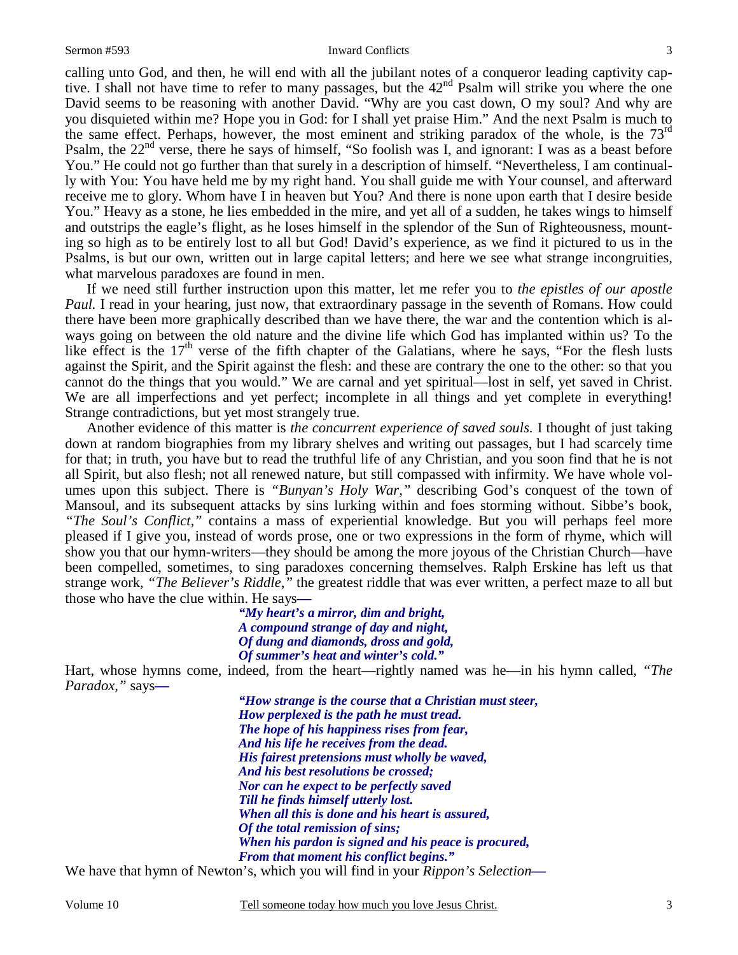#### Sermon #593 Inward Conflicts

calling unto God, and then, he will end with all the jubilant notes of a conqueror leading captivity captive. I shall not have time to refer to many passages, but the 42<sup>nd</sup> Psalm will strike you where the one David seems to be reasoning with another David. "Why are you cast down, O my soul? And why are you disquieted within me? Hope you in God: for I shall yet praise Him." And the next Psalm is much to the same effect. Perhaps, however, the most eminent and striking paradox of the whole, is the 73<sup>rd</sup> Psalm, the  $22<sup>nd</sup>$  verse, there he says of himself, "So foolish was I, and ignorant: I was as a beast before You." He could not go further than that surely in a description of himself. "Nevertheless, I am continually with You: You have held me by my right hand. You shall guide me with Your counsel, and afterward receive me to glory. Whom have I in heaven but You? And there is none upon earth that I desire beside You." Heavy as a stone, he lies embedded in the mire, and yet all of a sudden, he takes wings to himself and outstrips the eagle's flight, as he loses himself in the splendor of the Sun of Righteousness, mounting so high as to be entirely lost to all but God! David's experience, as we find it pictured to us in the Psalms, is but our own, written out in large capital letters; and here we see what strange incongruities, what marvelous paradoxes are found in men.

If we need still further instruction upon this matter, let me refer you to *the epistles of our apostle Paul.* I read in your hearing, just now, that extraordinary passage in the seventh of Romans. How could there have been more graphically described than we have there, the war and the contention which is always going on between the old nature and the divine life which God has implanted within us? To the like effect is the  $17<sup>th</sup>$  verse of the fifth chapter of the Galatians, where he says, "For the flesh lusts against the Spirit, and the Spirit against the flesh: and these are contrary the one to the other: so that you cannot do the things that you would." We are carnal and yet spiritual—lost in self, yet saved in Christ. We are all imperfections and yet perfect; incomplete in all things and yet complete in everything! Strange contradictions, but yet most strangely true.

Another evidence of this matter is *the concurrent experience of saved souls.* I thought of just taking down at random biographies from my library shelves and writing out passages, but I had scarcely time for that; in truth, you have but to read the truthful life of any Christian, and you soon find that he is not all Spirit, but also flesh; not all renewed nature, but still compassed with infirmity. We have whole volumes upon this subject. There is *"Bunyan's Holy War,"* describing God's conquest of the town of Mansoul, and its subsequent attacks by sins lurking within and foes storming without. Sibbe's book, *"The Soul's Conflict,"* contains a mass of experiential knowledge. But you will perhaps feel more pleased if I give you, instead of words prose, one or two expressions in the form of rhyme, which will show you that our hymn-writers—they should be among the more joyous of the Christian Church—have been compelled, sometimes, to sing paradoxes concerning themselves. Ralph Erskine has left us that strange work, *"The Believer's Riddle,"* the greatest riddle that was ever written, a perfect maze to all but those who have the clue within. He says*—* 

> *"My heart's a mirror, dim and bright, A compound strange of day and night, Of dung and diamonds, dross and gold, Of summer's heat and winter's cold."*

Hart, whose hymns come, indeed, from the heart—rightly named was he—in his hymn called, *"The Paradox,"* says*—* 

> *"How strange is the course that a Christian must steer, How perplexed is the path he must tread. The hope of his happiness rises from fear, And his life he receives from the dead. His fairest pretensions must wholly be waved, And his best resolutions be crossed; Nor can he expect to be perfectly saved Till he finds himself utterly lost. When all this is done and his heart is assured, Of the total remission of sins; When his pardon is signed and his peace is procured, From that moment his conflict begins."*

We have that hymn of Newton's, which you will find in your *Rippon's Selection—* 

Volume 10 Tell someone today how much you love Jesus Christ.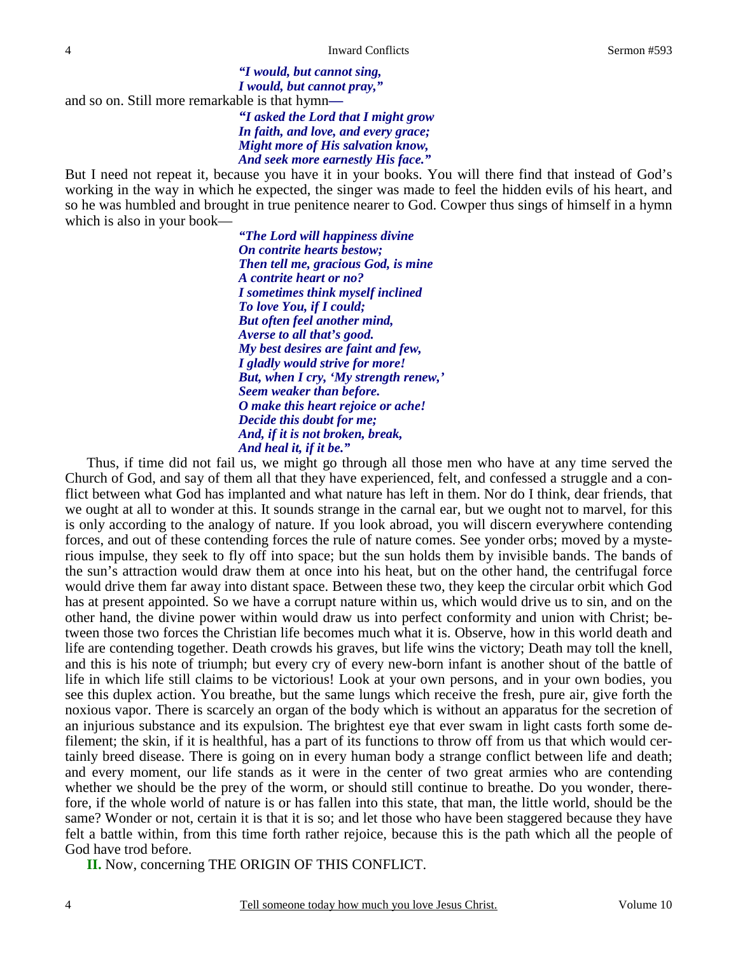*I would, but cannot pray,"*  and so on. Still more remarkable is that hymn*—* 

*"I asked the Lord that I might grow In faith, and love, and every grace; Might more of His salvation know, And seek more earnestly His face."* 

*"I would, but cannot sing,* 

But I need not repeat it, because you have it in your books. You will there find that instead of God's working in the way in which he expected, the singer was made to feel the hidden evils of his heart, and so he was humbled and brought in true penitence nearer to God. Cowper thus sings of himself in a hymn which is also in your book—

> *"The Lord will happiness divine On contrite hearts bestow; Then tell me, gracious God, is mine A contrite heart or no? I sometimes think myself inclined To love You, if I could; But often feel another mind, Averse to all that's good. My best desires are faint and few, I gladly would strive for more! But, when I cry, 'My strength renew,' Seem weaker than before. O make this heart rejoice or ache! Decide this doubt for me; And, if it is not broken, break, And heal it, if it be."*

Thus, if time did not fail us, we might go through all those men who have at any time served the Church of God, and say of them all that they have experienced, felt, and confessed a struggle and a conflict between what God has implanted and what nature has left in them. Nor do I think, dear friends, that we ought at all to wonder at this. It sounds strange in the carnal ear, but we ought not to marvel, for this is only according to the analogy of nature. If you look abroad, you will discern everywhere contending forces, and out of these contending forces the rule of nature comes. See yonder orbs; moved by a mysterious impulse, they seek to fly off into space; but the sun holds them by invisible bands. The bands of the sun's attraction would draw them at once into his heat, but on the other hand, the centrifugal force would drive them far away into distant space. Between these two, they keep the circular orbit which God has at present appointed. So we have a corrupt nature within us, which would drive us to sin, and on the other hand, the divine power within would draw us into perfect conformity and union with Christ; between those two forces the Christian life becomes much what it is. Observe, how in this world death and life are contending together. Death crowds his graves, but life wins the victory; Death may toll the knell, and this is his note of triumph; but every cry of every new-born infant is another shout of the battle of life in which life still claims to be victorious! Look at your own persons, and in your own bodies, you see this duplex action. You breathe, but the same lungs which receive the fresh, pure air, give forth the noxious vapor. There is scarcely an organ of the body which is without an apparatus for the secretion of an injurious substance and its expulsion. The brightest eye that ever swam in light casts forth some defilement; the skin, if it is healthful, has a part of its functions to throw off from us that which would certainly breed disease. There is going on in every human body a strange conflict between life and death; and every moment, our life stands as it were in the center of two great armies who are contending whether we should be the prey of the worm, or should still continue to breathe. Do you wonder, therefore, if the whole world of nature is or has fallen into this state, that man, the little world, should be the same? Wonder or not, certain it is that it is so; and let those who have been staggered because they have felt a battle within, from this time forth rather rejoice, because this is the path which all the people of God have trod before.

**II.** Now, concerning THE ORIGIN OF THIS CONFLICT.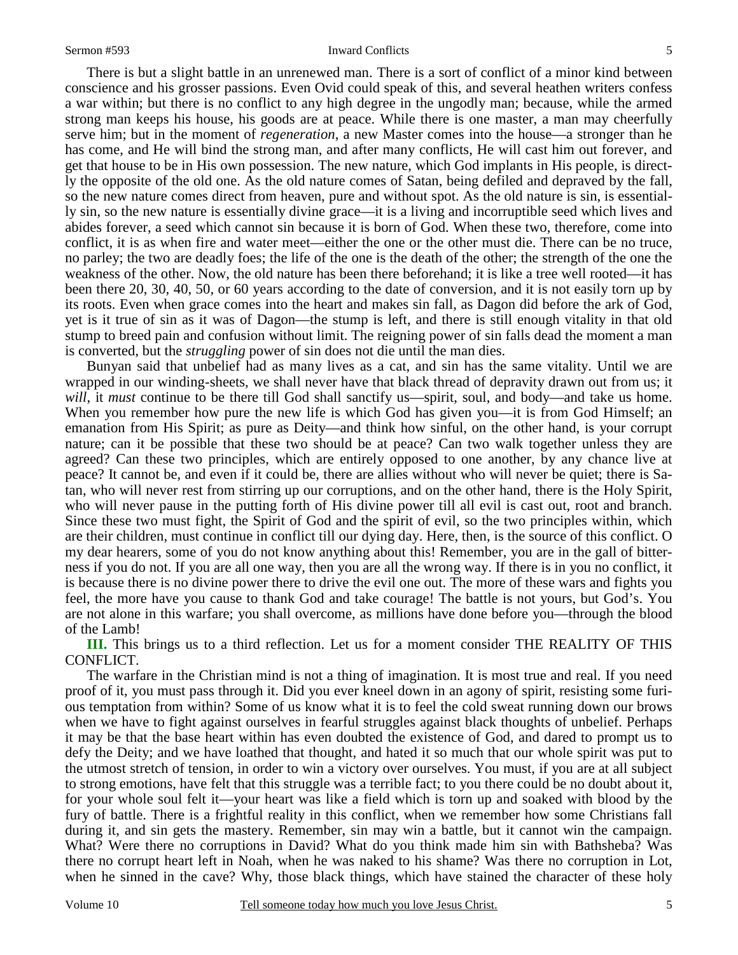#### Sermon #593 Inward Conflicts

There is but a slight battle in an unrenewed man. There is a sort of conflict of a minor kind between conscience and his grosser passions. Even Ovid could speak of this, and several heathen writers confess a war within; but there is no conflict to any high degree in the ungodly man; because, while the armed strong man keeps his house, his goods are at peace. While there is one master, a man may cheerfully serve him; but in the moment of *regeneration*, a new Master comes into the house—a stronger than he has come, and He will bind the strong man, and after many conflicts, He will cast him out forever, and get that house to be in His own possession. The new nature, which God implants in His people, is directly the opposite of the old one. As the old nature comes of Satan, being defiled and depraved by the fall, so the new nature comes direct from heaven, pure and without spot. As the old nature is sin, is essentially sin, so the new nature is essentially divine grace—it is a living and incorruptible seed which lives and abides forever, a seed which cannot sin because it is born of God. When these two, therefore, come into conflict, it is as when fire and water meet—either the one or the other must die. There can be no truce, no parley; the two are deadly foes; the life of the one is the death of the other; the strength of the one the weakness of the other. Now, the old nature has been there beforehand; it is like a tree well rooted—it has been there 20, 30, 40, 50, or 60 years according to the date of conversion, and it is not easily torn up by its roots. Even when grace comes into the heart and makes sin fall, as Dagon did before the ark of God, yet is it true of sin as it was of Dagon—the stump is left, and there is still enough vitality in that old stump to breed pain and confusion without limit. The reigning power of sin falls dead the moment a man is converted, but the *struggling* power of sin does not die until the man dies.

Bunyan said that unbelief had as many lives as a cat, and sin has the same vitality. Until we are wrapped in our winding-sheets, we shall never have that black thread of depravity drawn out from us; it *will*, it *must* continue to be there till God shall sanctify us—spirit, soul, and body—and take us home. When you remember how pure the new life is which God has given you—it is from God Himself; an emanation from His Spirit; as pure as Deity—and think how sinful, on the other hand, is your corrupt nature; can it be possible that these two should be at peace? Can two walk together unless they are agreed? Can these two principles, which are entirely opposed to one another, by any chance live at peace? It cannot be, and even if it could be, there are allies without who will never be quiet; there is Satan, who will never rest from stirring up our corruptions, and on the other hand, there is the Holy Spirit, who will never pause in the putting forth of His divine power till all evil is cast out, root and branch. Since these two must fight, the Spirit of God and the spirit of evil, so the two principles within, which are their children, must continue in conflict till our dying day. Here, then, is the source of this conflict. O my dear hearers, some of you do not know anything about this! Remember, you are in the gall of bitterness if you do not. If you are all one way, then you are all the wrong way. If there is in you no conflict, it is because there is no divine power there to drive the evil one out. The more of these wars and fights you feel, the more have you cause to thank God and take courage! The battle is not yours, but God's. You are not alone in this warfare; you shall overcome, as millions have done before you—through the blood of the Lamb!

**III.** This brings us to a third reflection. Let us for a moment consider THE REALITY OF THIS CONFLICT.

The warfare in the Christian mind is not a thing of imagination. It is most true and real. If you need proof of it, you must pass through it. Did you ever kneel down in an agony of spirit, resisting some furious temptation from within? Some of us know what it is to feel the cold sweat running down our brows when we have to fight against ourselves in fearful struggles against black thoughts of unbelief. Perhaps it may be that the base heart within has even doubted the existence of God, and dared to prompt us to defy the Deity; and we have loathed that thought, and hated it so much that our whole spirit was put to the utmost stretch of tension, in order to win a victory over ourselves. You must, if you are at all subject to strong emotions, have felt that this struggle was a terrible fact; to you there could be no doubt about it, for your whole soul felt it—your heart was like a field which is torn up and soaked with blood by the fury of battle. There is a frightful reality in this conflict, when we remember how some Christians fall during it, and sin gets the mastery. Remember, sin may win a battle, but it cannot win the campaign. What? Were there no corruptions in David? What do you think made him sin with Bathsheba? Was there no corrupt heart left in Noah, when he was naked to his shame? Was there no corruption in Lot, when he sinned in the cave? Why, those black things, which have stained the character of these holy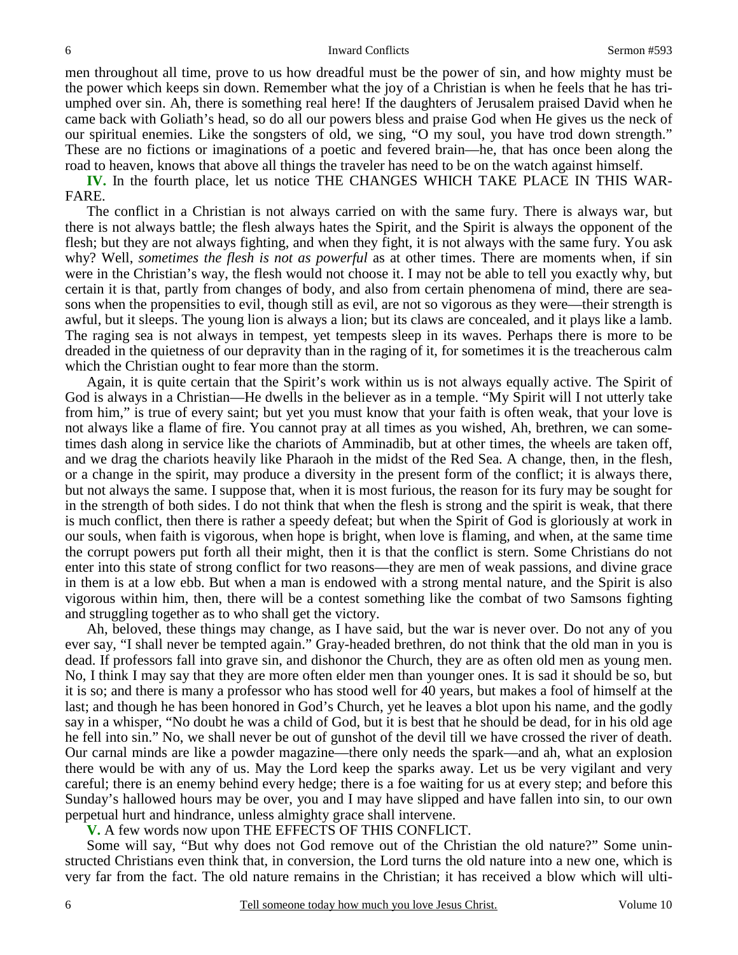men throughout all time, prove to us how dreadful must be the power of sin, and how mighty must be the power which keeps sin down. Remember what the joy of a Christian is when he feels that he has triumphed over sin. Ah, there is something real here! If the daughters of Jerusalem praised David when he came back with Goliath's head, so do all our powers bless and praise God when He gives us the neck of our spiritual enemies. Like the songsters of old, we sing, "O my soul, you have trod down strength." These are no fictions or imaginations of a poetic and fevered brain—he, that has once been along the road to heaven, knows that above all things the traveler has need to be on the watch against himself.

**IV.** In the fourth place, let us notice THE CHANGES WHICH TAKE PLACE IN THIS WAR-FARE.

The conflict in a Christian is not always carried on with the same fury. There is always war, but there is not always battle; the flesh always hates the Spirit, and the Spirit is always the opponent of the flesh; but they are not always fighting, and when they fight, it is not always with the same fury. You ask why? Well, *sometimes the flesh is not as powerful* as at other times. There are moments when, if sin were in the Christian's way, the flesh would not choose it. I may not be able to tell you exactly why, but certain it is that, partly from changes of body, and also from certain phenomena of mind, there are seasons when the propensities to evil, though still as evil, are not so vigorous as they were—their strength is awful, but it sleeps. The young lion is always a lion; but its claws are concealed, and it plays like a lamb. The raging sea is not always in tempest, yet tempests sleep in its waves. Perhaps there is more to be dreaded in the quietness of our depravity than in the raging of it, for sometimes it is the treacherous calm which the Christian ought to fear more than the storm.

Again, it is quite certain that the Spirit's work within us is not always equally active. The Spirit of God is always in a Christian—He dwells in the believer as in a temple. "My Spirit will I not utterly take from him," is true of every saint; but yet you must know that your faith is often weak, that your love is not always like a flame of fire. You cannot pray at all times as you wished, Ah, brethren, we can sometimes dash along in service like the chariots of Amminadib, but at other times, the wheels are taken off, and we drag the chariots heavily like Pharaoh in the midst of the Red Sea. A change, then, in the flesh, or a change in the spirit, may produce a diversity in the present form of the conflict; it is always there, but not always the same. I suppose that, when it is most furious, the reason for its fury may be sought for in the strength of both sides. I do not think that when the flesh is strong and the spirit is weak, that there is much conflict, then there is rather a speedy defeat; but when the Spirit of God is gloriously at work in our souls, when faith is vigorous, when hope is bright, when love is flaming, and when, at the same time the corrupt powers put forth all their might, then it is that the conflict is stern. Some Christians do not enter into this state of strong conflict for two reasons—they are men of weak passions, and divine grace in them is at a low ebb. But when a man is endowed with a strong mental nature, and the Spirit is also vigorous within him, then, there will be a contest something like the combat of two Samsons fighting and struggling together as to who shall get the victory.

Ah, beloved, these things may change, as I have said, but the war is never over. Do not any of you ever say, "I shall never be tempted again." Gray-headed brethren, do not think that the old man in you is dead. If professors fall into grave sin, and dishonor the Church, they are as often old men as young men. No, I think I may say that they are more often elder men than younger ones. It is sad it should be so, but it is so; and there is many a professor who has stood well for 40 years, but makes a fool of himself at the last; and though he has been honored in God's Church, yet he leaves a blot upon his name, and the godly say in a whisper, "No doubt he was a child of God, but it is best that he should be dead, for in his old age he fell into sin." No, we shall never be out of gunshot of the devil till we have crossed the river of death. Our carnal minds are like a powder magazine—there only needs the spark—and ah, what an explosion there would be with any of us. May the Lord keep the sparks away. Let us be very vigilant and very careful; there is an enemy behind every hedge; there is a foe waiting for us at every step; and before this Sunday's hallowed hours may be over, you and I may have slipped and have fallen into sin, to our own perpetual hurt and hindrance, unless almighty grace shall intervene.

**V.** A few words now upon THE EFFECTS OF THIS CONFLICT.

Some will say, "But why does not God remove out of the Christian the old nature?" Some uninstructed Christians even think that, in conversion, the Lord turns the old nature into a new one, which is very far from the fact. The old nature remains in the Christian; it has received a blow which will ulti-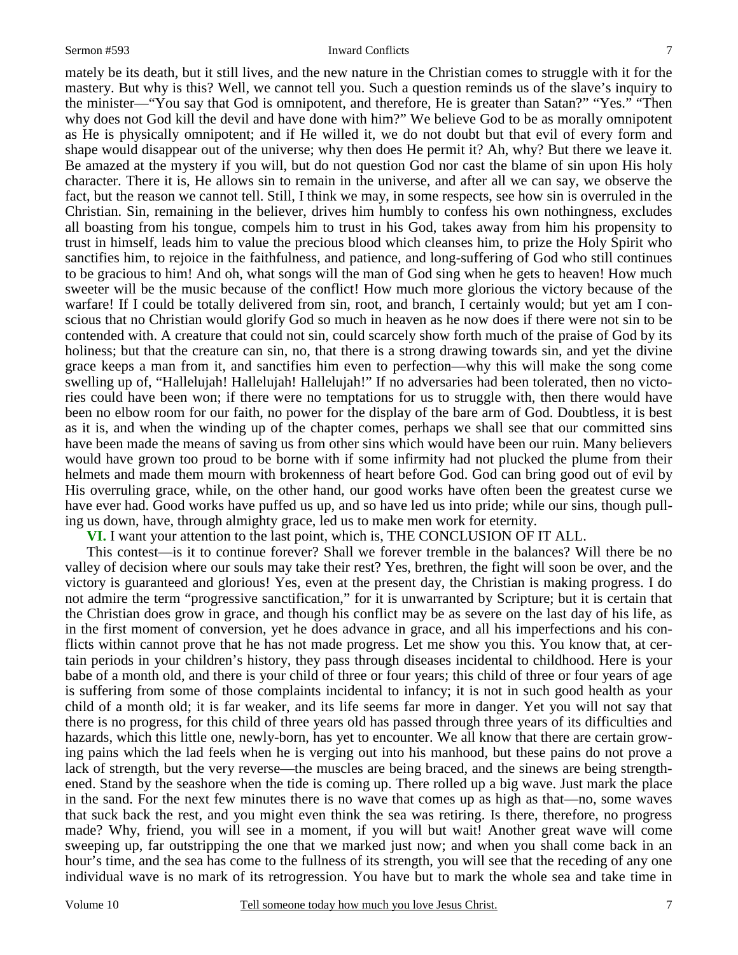#### Sermon #593 Inward Conflicts

mately be its death, but it still lives, and the new nature in the Christian comes to struggle with it for the mastery. But why is this? Well, we cannot tell you. Such a question reminds us of the slave's inquiry to the minister—"You say that God is omnipotent, and therefore, He is greater than Satan?" "Yes." "Then why does not God kill the devil and have done with him?" We believe God to be as morally omnipotent as He is physically omnipotent; and if He willed it, we do not doubt but that evil of every form and shape would disappear out of the universe; why then does He permit it? Ah, why? But there we leave it. Be amazed at the mystery if you will, but do not question God nor cast the blame of sin upon His holy character. There it is, He allows sin to remain in the universe, and after all we can say, we observe the fact, but the reason we cannot tell. Still, I think we may, in some respects, see how sin is overruled in the Christian. Sin, remaining in the believer, drives him humbly to confess his own nothingness, excludes all boasting from his tongue, compels him to trust in his God, takes away from him his propensity to trust in himself, leads him to value the precious blood which cleanses him, to prize the Holy Spirit who sanctifies him, to rejoice in the faithfulness, and patience, and long-suffering of God who still continues to be gracious to him! And oh, what songs will the man of God sing when he gets to heaven! How much sweeter will be the music because of the conflict! How much more glorious the victory because of the warfare! If I could be totally delivered from sin, root, and branch, I certainly would; but yet am I conscious that no Christian would glorify God so much in heaven as he now does if there were not sin to be contended with. A creature that could not sin, could scarcely show forth much of the praise of God by its holiness; but that the creature can sin, no, that there is a strong drawing towards sin, and yet the divine grace keeps a man from it, and sanctifies him even to perfection—why this will make the song come swelling up of, "Hallelujah! Hallelujah! Hallelujah!" If no adversaries had been tolerated, then no victories could have been won; if there were no temptations for us to struggle with, then there would have been no elbow room for our faith, no power for the display of the bare arm of God. Doubtless, it is best as it is, and when the winding up of the chapter comes, perhaps we shall see that our committed sins have been made the means of saving us from other sins which would have been our ruin. Many believers would have grown too proud to be borne with if some infirmity had not plucked the plume from their helmets and made them mourn with brokenness of heart before God. God can bring good out of evil by His overruling grace, while, on the other hand, our good works have often been the greatest curse we have ever had. Good works have puffed us up, and so have led us into pride; while our sins, though pulling us down, have, through almighty grace, led us to make men work for eternity.

**VI.** I want your attention to the last point, which is, THE CONCLUSION OF IT ALL.

This contest—is it to continue forever? Shall we forever tremble in the balances? Will there be no valley of decision where our souls may take their rest? Yes, brethren, the fight will soon be over, and the victory is guaranteed and glorious! Yes, even at the present day, the Christian is making progress. I do not admire the term "progressive sanctification," for it is unwarranted by Scripture; but it is certain that the Christian does grow in grace, and though his conflict may be as severe on the last day of his life, as in the first moment of conversion, yet he does advance in grace, and all his imperfections and his conflicts within cannot prove that he has not made progress. Let me show you this. You know that, at certain periods in your children's history, they pass through diseases incidental to childhood. Here is your babe of a month old, and there is your child of three or four years; this child of three or four years of age is suffering from some of those complaints incidental to infancy; it is not in such good health as your child of a month old; it is far weaker, and its life seems far more in danger. Yet you will not say that there is no progress, for this child of three years old has passed through three years of its difficulties and hazards, which this little one, newly-born, has yet to encounter. We all know that there are certain growing pains which the lad feels when he is verging out into his manhood, but these pains do not prove a lack of strength, but the very reverse—the muscles are being braced, and the sinews are being strengthened. Stand by the seashore when the tide is coming up. There rolled up a big wave. Just mark the place in the sand. For the next few minutes there is no wave that comes up as high as that—no, some waves that suck back the rest, and you might even think the sea was retiring. Is there, therefore, no progress made? Why, friend, you will see in a moment, if you will but wait! Another great wave will come sweeping up, far outstripping the one that we marked just now; and when you shall come back in an hour's time, and the sea has come to the fullness of its strength, you will see that the receding of any one individual wave is no mark of its retrogression. You have but to mark the whole sea and take time in